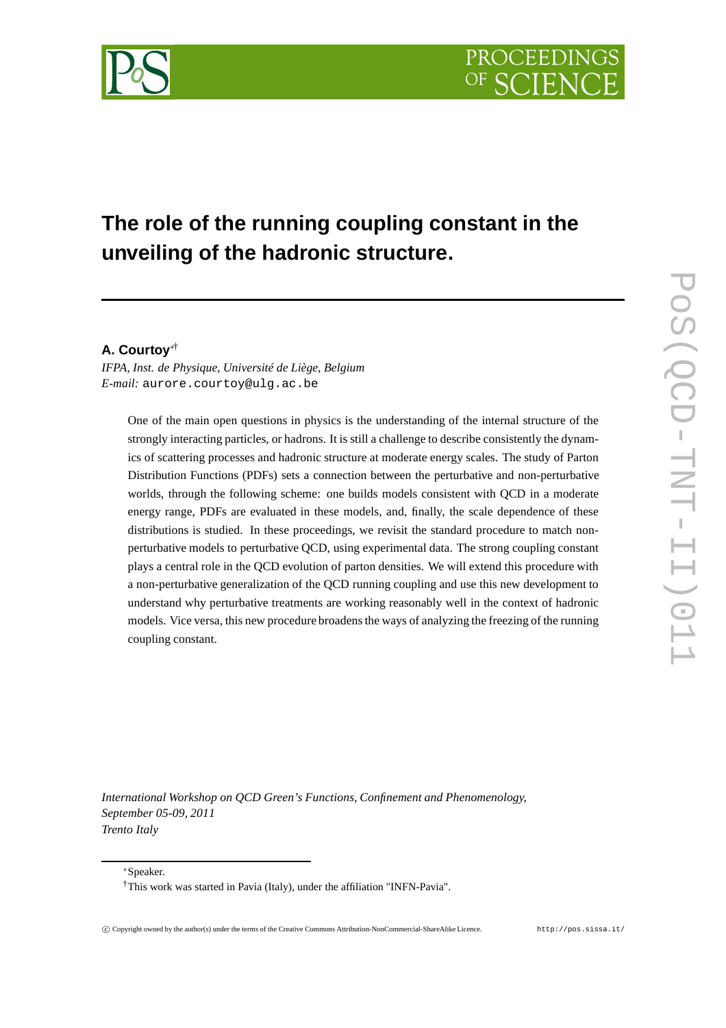# **The role of the running coupling constant in the unveiling of the hadronic structure.**

# **A. Courtoy**∗†

*IFPA, Inst. de Physique, Université de Liège, Belgium E-mail:* aurore.courtoy@ulg.ac.be

One of the main open questions in physics is the understanding of the internal structure of the strongly interacting particles, or hadrons. It is still a challenge to describe consistently the dynamics of scattering processes and hadronic structure at moderate energy scales. The study of Parton Distribution Functions (PDFs) sets a connection between the perturbative and non-perturbative worlds, through the following scheme: one builds models consistent with QCD in a moderate energy range, PDFs are evaluated in these models, and, finally, the scale dependence of these distributions is studied. In these proceedings, we revisit the standard procedure to match nonperturbative models to perturbative QCD, using experimental data. The strong coupling constant plays a central role in the QCD evolution of parton densities. We will extend this procedure with a non-perturbative generalization of the QCD running coupling and use this new development to understand why perturbative treatments are working reasonably well in the context of hadronic models. Vice versa, this new procedure broadens the ways of analyzing the freezing of the running coupling constant.

*International Workshop on QCD Green's Functions, Confinement and Phenomenology, September 05-09, 2011 Trento Italy*

<sup>∗</sup>Speaker.

<sup>†</sup>This work was started in Pavia (Italy), under the affiliation "INFN-Pavia".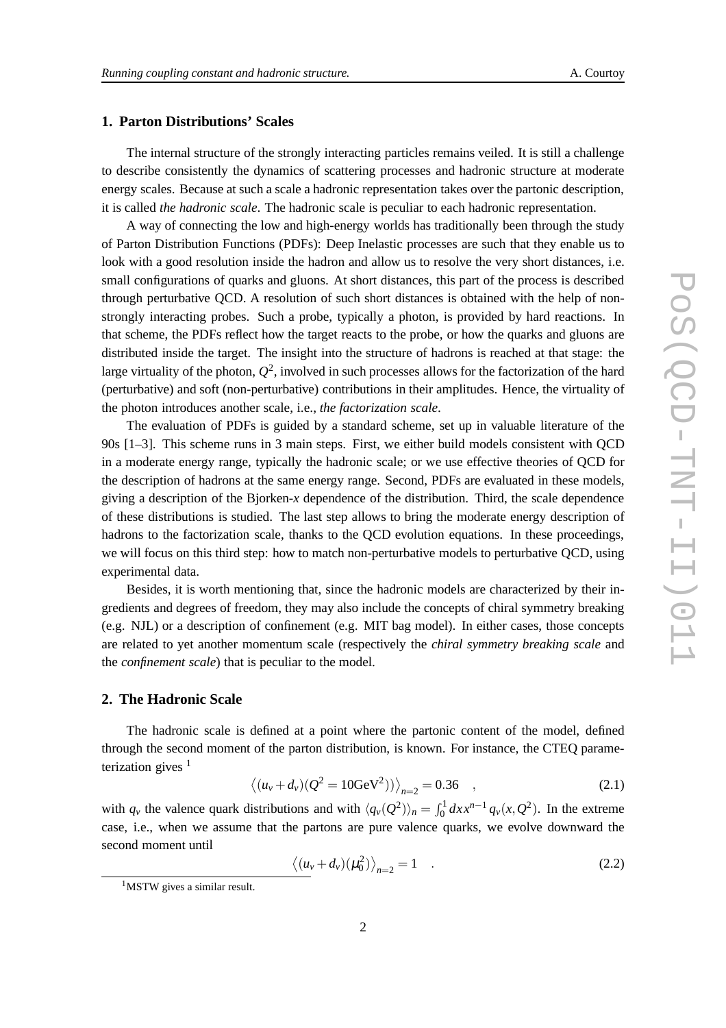### **1. Parton Distributions' Scales**

The internal structure of the strongly interacting particles remains veiled. It is still a challenge to describe consistently the dynamics of scattering processes and hadronic structure at moderate energy scales. Because at such a scale a hadronic representation takes over the partonic description, it is called *the hadronic scale*. The hadronic scale is peculiar to each hadronic representation.

A way of connecting the low and high-energy worlds has traditionally been through the study of Parton Distribution Functions (PDFs): Deep Inelastic processes are such that they enable us to look with a good resolution inside the hadron and allow us to resolve the very short distances, i.e. small configurations of quarks and gluons. At short distances, this part of the process is described through perturbative QCD. A resolution of such short distances is obtained with the help of nonstrongly interacting probes. Such a probe, typically a photon, is provided by hard reactions. In that scheme, the PDFs reflect how the target reacts to the probe, or how the quarks and gluons are distributed inside the target. The insight into the structure of hadrons is reached at that stage: the large virtuality of the photon,  $Q^2$ , involved in such processes allows for the factorization of the hard (perturbative) and soft (non-perturbative) contributions in their amplitudes. Hence, the virtuality of the photon introduces another scale, i.e., *the factorization scale*.

The evaluation of PDFs is guided by a standard scheme, set up in valuable literature of the 90s [1–3]. This scheme runs in 3 main steps. First, we either build models consistent with QCD in a moderate energy range, typically the hadronic scale; or we use effective theories of QCD for the description of hadrons at the same energy range. Second, PDFs are evaluated in these models, giving a description of the Bjorken-*x* dependence of the distribution. Third, the scale dependence of these distributions is studied. The last step allows to bring the moderate energy description of hadrons to the factorization scale, thanks to the QCD evolution equations. In these proceedings, we will focus on this third step: how to match non-perturbative models to perturbative QCD, using experimental data.

Besides, it is worth mentioning that, since the hadronic models are characterized by their ingredients and degrees of freedom, they may also include the concepts of chiral symmetry breaking (e.g. NJL) or a description of confinement (e.g. MIT bag model). In either cases, those concepts are related to yet another momentum scale (respectively the *chiral symmetry breaking scale* and the *confinement scale*) that is peculiar to the model.

#### **2. The Hadronic Scale**

The hadronic scale is defined at a point where the partonic content of the model, defined through the second moment of the parton distribution, is known. For instance, the CTEQ parameterization gives  $<sup>1</sup>$ </sup>

$$
\langle (u_v + d_v)(Q^2 = 10 \text{GeV}^2) \rangle_{n=2} = 0.36
$$
 (2.1)

with  $q_v$  the valence quark distributions and with  $\langle q_v(Q^2) \rangle_n = \int_0^1 dx x^{n-1} q_v(x, Q^2)$ . In the extreme case, i.e., when we assume that the partons are pure valence quarks, we evolve downward the second moment until

$$
\langle (u_v + d_v)(\mu_0^2) \rangle_{n=2} = 1 \quad . \tag{2.2}
$$

 $1$ MSTW gives a similar result.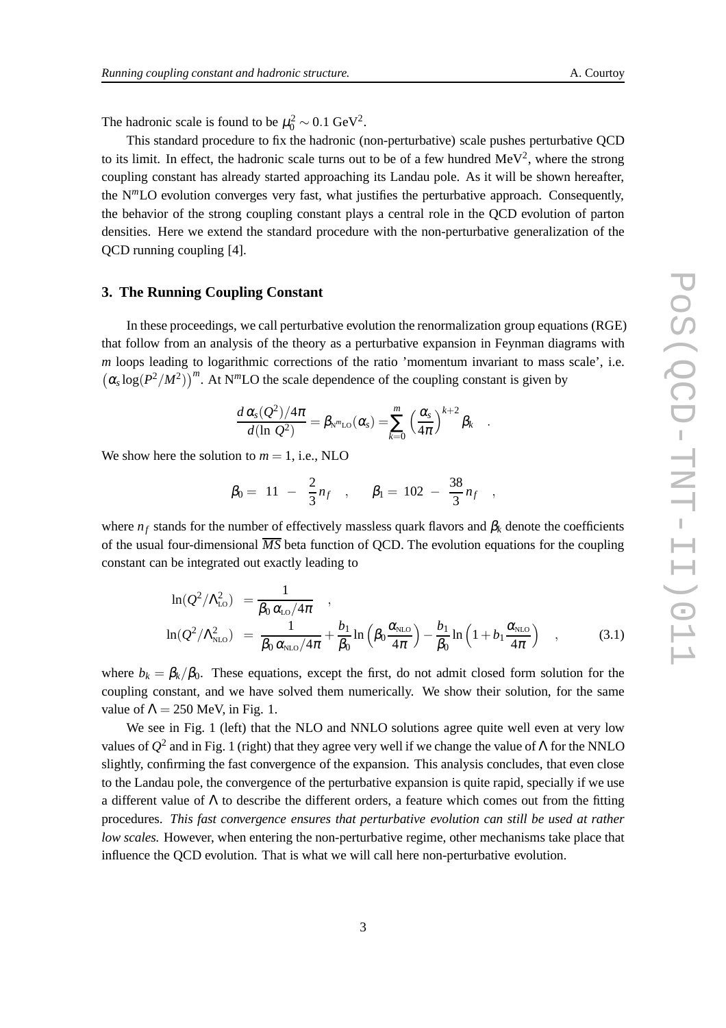The hadronic scale is found to be  $\mu_0^2 \sim 0.1 \text{ GeV}^2$ .

This standard procedure to fix the hadronic (non-perturbative) scale pushes perturbative QCD to its limit. In effect, the hadronic scale turns out to be of a few hundred  $MeV<sup>2</sup>$ , where the strong coupling constant has already started approaching its Landau pole. As it will be shown hereafter, the N*m*LO evolution converges very fast, what justifies the perturbative approach. Consequently, the behavior of the strong coupling constant plays a central role in the QCD evolution of parton densities. Here we extend the standard procedure with the non-perturbative generalization of the QCD running coupling [4].

### **3. The Running Coupling Constant**

In these proceedings, we call perturbative evolution the renormalization group equations (RGE) that follow from an analysis of the theory as a perturbative expansion in Feynman diagrams with *m* loops leading to logarithmic corrections of the ratio 'momentum invariant to mass scale', i.e.  $(\alpha_s \log(P^2/M^2))^m$ . At N<sup>*m*</sup>LO the scale dependence of the coupling constant is given by

$$
\frac{d\,\alpha_s(Q^2)/4\pi}{d(\ln\,Q^2)} = \beta_{\mathsf{N}^m\mathsf{LO}}(\alpha_s) = \sum_{k=0}^m \left(\frac{\alpha_s}{4\pi}\right)^{k+2} \beta_k \quad .
$$

We show here the solution to  $m = 1$ , i.e., NLO

$$
\beta_0 = 11 - \frac{2}{3} n_f , \quad \beta_1 = 102 - \frac{38}{3} n_f ,
$$

where  $n_f$  stands for the number of effectively massless quark flavors and  $\beta_k$  denote the coefficients of the usual four-dimensional  $\overline{MS}$  beta function of QCD. The evolution equations for the coupling constant can be integrated out exactly leading to

$$
\ln(Q^2/\Lambda_{\text{LO}}^2) = \frac{1}{\beta_0 \alpha_{\text{LO}}/4\pi} ,
$$
  

$$
\ln(Q^2/\Lambda_{\text{NLO}}^2) = \frac{1}{\beta_0 \alpha_{\text{NLO}}/4\pi} + \frac{b_1}{\beta_0} \ln\left(\beta_0 \frac{\alpha_{\text{NLO}}}{4\pi}\right) - \frac{b_1}{\beta_0} \ln\left(1 + b_1 \frac{\alpha_{\text{NLO}}}{4\pi}\right) ,
$$
(3.1)

where  $b_k = \beta_k/\beta_0$ . These equations, except the first, do not admit closed form solution for the coupling constant, and we have solved them numerically. We show their solution, for the same value of  $\Lambda = 250$  MeV, in Fig. 1.

We see in Fig. 1 (left) that the NLO and NNLO solutions agree quite well even at very low values of  $Q^2$  and in Fig. 1 (right) that they agree very well if we change the value of  $\Lambda$  for the NNLO slightly, confirming the fast convergence of the expansion. This analysis concludes, that even close to the Landau pole, the convergence of the perturbative expansion is quite rapid, specially if we use a different value of  $\Lambda$  to describe the different orders, a feature which comes out from the fitting procedures. *This fast convergence ensures that perturbative evolution can still be used at rather low scales.* However, when entering the non-perturbative regime, other mechanisms take place that influence the QCD evolution. That is what we will call here non-perturbative evolution.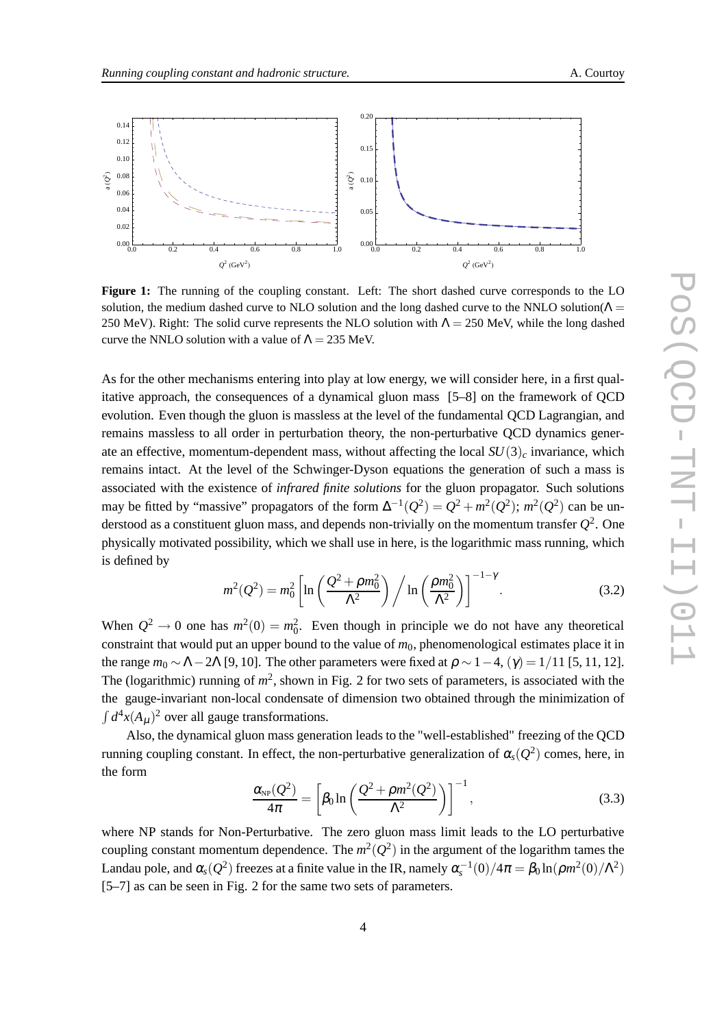

**Figure 1:** The running of the coupling constant. Left: The short dashed curve corresponds to the LO solution, the medium dashed curve to NLO solution and the long dashed curve to the NNLO solution( $\Lambda$  = 250 MeV). Right: The solid curve represents the NLO solution with  $\Lambda = 250$  MeV, while the long dashed curve the NNLO solution with a value of  $\Lambda = 235$  MeV.

As for the other mechanisms entering into play at low energy, we will consider here, in a first qualitative approach, the consequences of a dynamical gluon mass [5–8] on the framework of QCD evolution. Even though the gluon is massless at the level of the fundamental QCD Lagrangian, and remains massless to all order in perturbation theory, the non-perturbative QCD dynamics generate an effective, momentum-dependent mass, without affecting the local  $SU(3)_c$  invariance, which remains intact. At the level of the Schwinger-Dyson equations the generation of such a mass is associated with the existence of *infrared finite solutions* for the gluon propagator. Such solutions may be fitted by "massive" propagators of the form  $\Delta^{-1}(Q^2) = Q^2 + m^2(Q^2)$ ;  $m^2(Q^2)$  can be understood as a constituent gluon mass, and depends non-trivially on the momentum transfer  $Q^2$ . One physically motivated possibility, which we shall use in here, is the logarithmic mass running, which is defined by

$$
m^2(Q^2) = m_0^2 \left[ \ln \left( \frac{Q^2 + \rho m_0^2}{\Lambda^2} \right) \Big/ \ln \left( \frac{\rho m_0^2}{\Lambda^2} \right) \right]^{-1 - \gamma}.
$$
 (3.2)

When  $Q^2 \to 0$  one has  $m^2(0) = m_0^2$ . Even though in principle we do not have any theoretical constraint that would put an upper bound to the value of  $m_0$ , phenomenological estimates place it in the range  $m_0 \sim \Lambda - 2\Lambda$  [9, 10]. The other parameters were fixed at  $\rho \sim 1-4$ , ( $\gamma$ ) = 1/11 [5, 11, 12]. The (logarithmic) running of  $m^2$ , shown in Fig. 2 for two sets of parameters, is associated with the the gauge-invariant non-local condensate of dimension two obtained through the minimization of  $\int d^4x (A_\mu)^2$  over all gauge transformations.

Also, the dynamical gluon mass generation leads to the "well-established" freezing of the QCD running coupling constant. In effect, the non-perturbative generalization of  $\alpha_s(Q^2)$  comes, here, in the form

$$
\frac{\alpha_{\text{NP}}(Q^2)}{4\pi} = \left[\beta_0 \ln\left(\frac{Q^2 + \rho m^2(Q^2)}{\Lambda^2}\right)\right]^{-1},\tag{3.3}
$$

where NP stands for Non-Perturbative. The zero gluon mass limit leads to the LO perturbative coupling constant momentum dependence. The  $m^2(Q^2)$  in the argument of the logarithm tames the Landau pole, and  $\alpha_s(Q^2)$  freezes at a finite value in the IR, namely  $\alpha_s^{-1}(0)/4\pi = \beta_0 \ln(\rho m^2(0)/\Lambda^2)$ [5–7] as can be seen in Fig. 2 for the same two sets of parameters.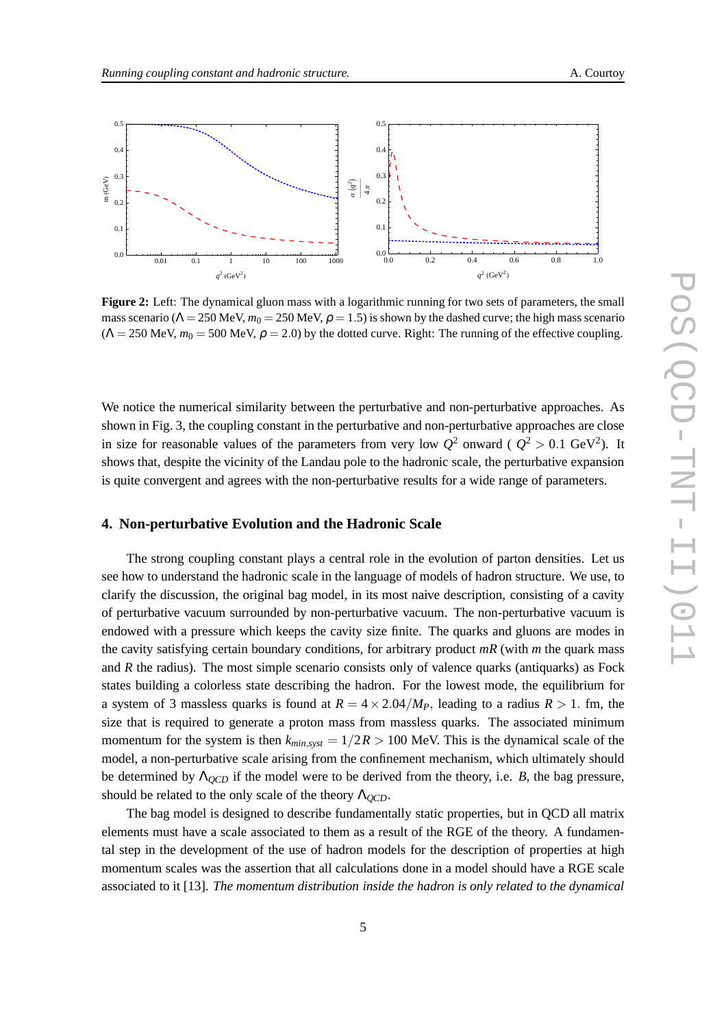

**Figure 2:** Left: The dynamical gluon mass with a logarithmic running for two sets of parameters, the small mass scenario ( $\Lambda = 250$  MeV,  $m_0 = 250$  MeV,  $\rho = 1.5$ ) is shown by the dashed curve; the high mass scenario  $(\Lambda = 250 \text{ MeV}, m_0 = 500 \text{ MeV}, \rho = 2.0)$  by the dotted curve. Right: The running of the effective coupling.

We notice the numerical similarity between the perturbative and non-perturbative approaches. As shown in Fig. 3, the coupling constant in the perturbative and non-perturbative approaches are close in size for reasonable values of the parameters from very low  $Q^2$  onward (  $Q^2 > 0.1$  GeV<sup>2</sup>). It shows that, despite the vicinity of the Landau pole to the hadronic scale, the perturbative expansion is quite convergent and agrees with the non-perturbative results for a wide range of parameters.

#### **4. Non-perturbative Evolution and the Hadronic Scale**

The strong coupling constant plays a central role in the evolution of parton densities. Let us see how to understand the hadronic scale in the language of models of hadron structure. We use, to clarify the discussion, the original bag model, in its most naive description, consisting of a cavity of perturbative vacuum surrounded by non-perturbative vacuum. The non-perturbative vacuum is endowed with a pressure which keeps the cavity size finite. The quarks and gluons are modes in the cavity satisfying certain boundary conditions, for arbitrary product *mR* (with *m* the quark mass and *R* the radius). The most simple scenario consists only of valence quarks (antiquarks) as Fock states building a colorless state describing the hadron. For the lowest mode, the equilibrium for a system of 3 massless quarks is found at  $R = 4 \times 2.04/M_P$ , leading to a radius  $R > 1$ . fm, the size that is required to generate a proton mass from massless quarks. The associated minimum momentum for the system is then  $k_{min,svst} = 1/2R > 100$  MeV. This is the dynamical scale of the model, a non-perturbative scale arising from the confinement mechanism, which ultimately should be determined by  $\Lambda_{OCD}$  if the model were to be derived from the theory, i.e. *B*, the bag pressure, should be related to the only scale of the theory Λ*QCD*.

The bag model is designed to describe fundamentally static properties, but in QCD all matrix elements must have a scale associated to them as a result of the RGE of the theory. A fundamental step in the development of the use of hadron models for the description of properties at high momentum scales was the assertion that all calculations done in a model should have a RGE scale associated to it [13]. *The momentum distribution inside the hadron is only related to the dynamical*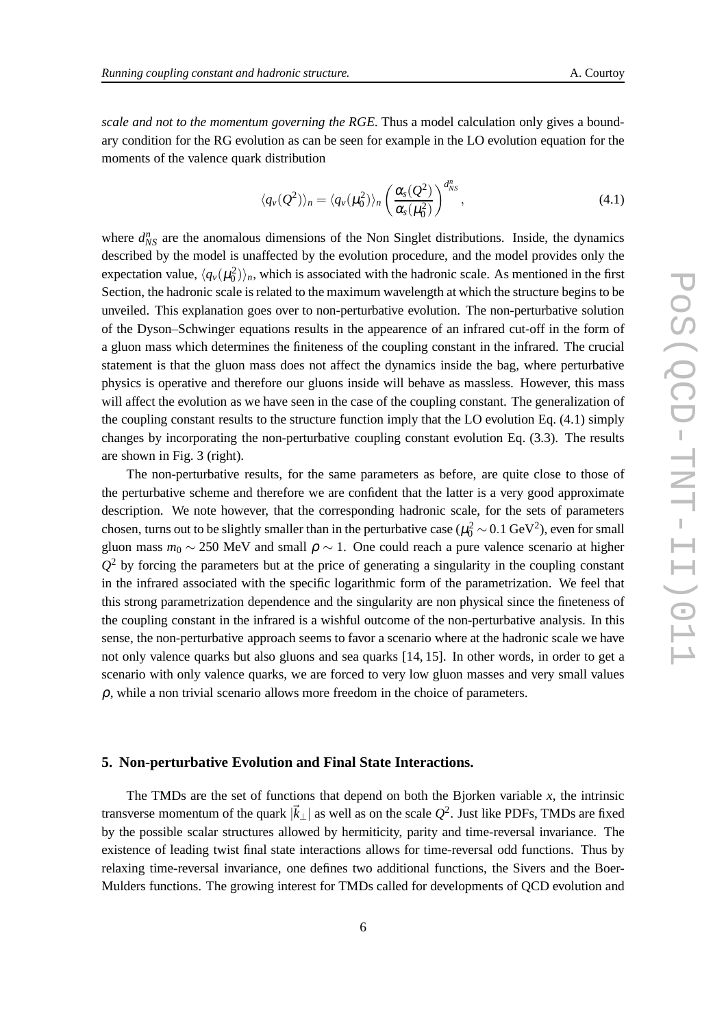*scale and not to the momentum governing the RGE.* Thus a model calculation only gives a boundary condition for the RG evolution as can be seen for example in the LO evolution equation for the moments of the valence quark distribution

$$
\langle q_{\nu}(Q^2) \rangle_n = \langle q_{\nu}(\mu_0^2) \rangle_n \left( \frac{\alpha_s(Q^2)}{\alpha_s(\mu_0^2)} \right)^{d_{NS}^n}, \qquad (4.1)
$$

where  $d_{NS}^n$  are the anomalous dimensions of the Non Singlet distributions. Inside, the dynamics described by the model is unaffected by the evolution procedure, and the model provides only the expectation value,  $\langle q_v(\mu_0^2) \rangle_n$ , which is associated with the hadronic scale. As mentioned in the first Section, the hadronic scale is related to the maximum wavelength at which the structure begins to be unveiled. This explanation goes over to non-perturbative evolution. The non-perturbative solution of the Dyson–Schwinger equations results in the appearence of an infrared cut-off in the form of a gluon mass which determines the finiteness of the coupling constant in the infrared. The crucial statement is that the gluon mass does not affect the dynamics inside the bag, where perturbative physics is operative and therefore our gluons inside will behave as massless. However, this mass will affect the evolution as we have seen in the case of the coupling constant. The generalization of the coupling constant results to the structure function imply that the LO evolution Eq. (4.1) simply changes by incorporating the non-perturbative coupling constant evolution Eq. (3.3). The results are shown in Fig. 3 (right).

The non-perturbative results, for the same parameters as before, are quite close to those of the perturbative scheme and therefore we are confident that the latter is a very good approximate description. We note however, that the corresponding hadronic scale, for the sets of parameters chosen, turns out to be slightly smaller than in the perturbative case ( $\mu_0^2 \sim 0.1 \text{ GeV}^2$ ), even for small gluon mass  $m_0 \sim 250$  MeV and small  $\rho \sim 1$ . One could reach a pure valence scenario at higher  $Q<sup>2</sup>$  by forcing the parameters but at the price of generating a singularity in the coupling constant in the infrared associated with the specific logarithmic form of the parametrization. We feel that this strong parametrization dependence and the singularity are non physical since the fineteness of the coupling constant in the infrared is a wishful outcome of the non-perturbative analysis. In this sense, the non-perturbative approach seems to favor a scenario where at the hadronic scale we have not only valence quarks but also gluons and sea quarks [14, 15]. In other words, in order to get a scenario with only valence quarks, we are forced to very low gluon masses and very small values  $\rho$ , while a non trivial scenario allows more freedom in the choice of parameters.

#### **5. Non-perturbative Evolution and Final State Interactions.**

The TMDs are the set of functions that depend on both the Bjorken variable  $x$ , the intrinsic transverse momentum of the quark  $|\vec{k}_\perp|$  as well as on the scale  $Q^2$ . Just like PDFs, TMDs are fixed by the possible scalar structures allowed by hermiticity, parity and time-reversal invariance. The existence of leading twist final state interactions allows for time-reversal odd functions. Thus by relaxing time-reversal invariance, one defines two additional functions, the Sivers and the Boer-Mulders functions. The growing interest for TMDs called for developments of QCD evolution and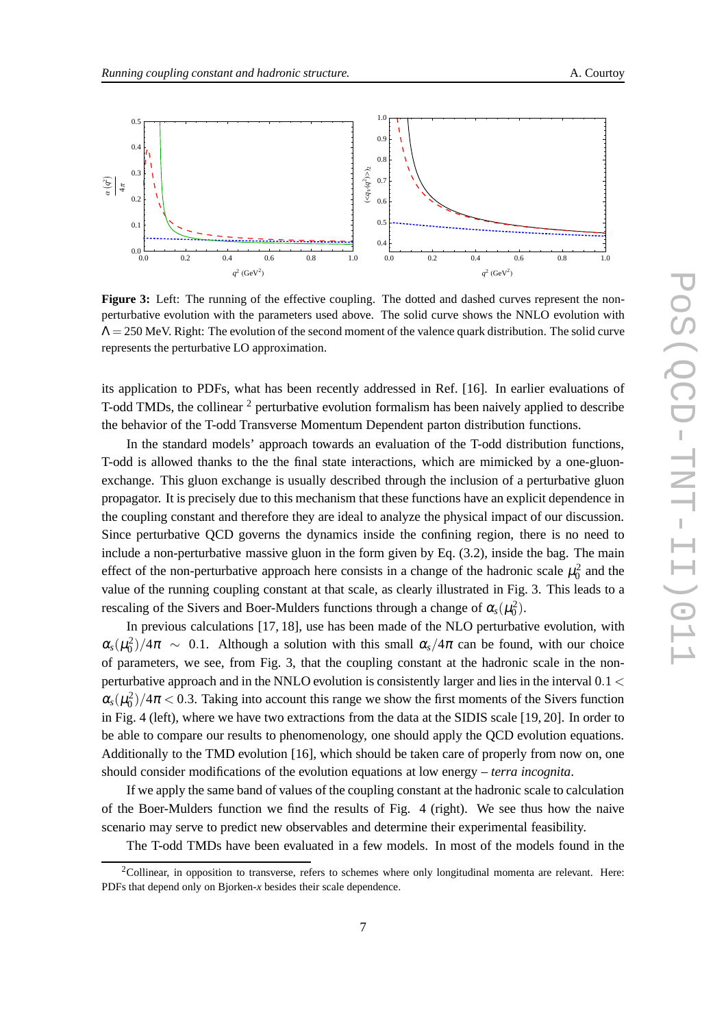

**Figure 3:** Left: The running of the effective coupling. The dotted and dashed curves represent the nonperturbative evolution with the parameters used above. The solid curve shows the NNLO evolution with  $\Lambda = 250$  MeV. Right: The evolution of the second moment of the valence quark distribution. The solid curve represents the perturbative LO approximation.

its application to PDFs, what has been recently addressed in Ref. [16]. In earlier evaluations of T-odd TMDs, the collinear <sup>2</sup> perturbative evolution formalism has been naively applied to describe the behavior of the T-odd Transverse Momentum Dependent parton distribution functions.

In the standard models' approach towards an evaluation of the T-odd distribution functions, T-odd is allowed thanks to the the final state interactions, which are mimicked by a one-gluonexchange. This gluon exchange is usually described through the inclusion of a perturbative gluon propagator. It is precisely due to this mechanism that these functions have an explicit dependence in the coupling constant and therefore they are ideal to analyze the physical impact of our discussion. Since perturbative QCD governs the dynamics inside the confining region, there is no need to include a non-perturbative massive gluon in the form given by Eq. (3.2), inside the bag. The main effect of the non-perturbative approach here consists in a change of the hadronic scale  $\mu_0^2$  and the value of the running coupling constant at that scale, as clearly illustrated in Fig. 3. This leads to a rescaling of the Sivers and Boer-Mulders functions through a change of  $\alpha_s(\mu_0^2)$ .

In previous calculations [17, 18], use has been made of the NLO perturbative evolution, with  $\alpha_s(\mu_0^2)/4\pi \sim 0.1$ . Although a solution with this small  $\alpha_s/4\pi$  can be found, with our choice of parameters, we see, from Fig. 3, that the coupling constant at the hadronic scale in the nonperturbative approach and in the NNLO evolution is consistently larger and lies in the interval  $0.1 <$  $\alpha_s(\mu_0^2)/4\pi < 0.3$ . Taking into account this range we show the first moments of the Sivers function in Fig. 4 (left), where we have two extractions from the data at the SIDIS scale [19, 20]. In order to be able to compare our results to phenomenology, one should apply the QCD evolution equations. Additionally to the TMD evolution [16], which should be taken care of properly from now on, one should consider modifications of the evolution equations at low energy – *terra incognita*.

If we apply the same band of values of the coupling constant at the hadronic scale to calculation of the Boer-Mulders function we find the results of Fig. 4 (right). We see thus how the naive scenario may serve to predict new observables and determine their experimental feasibility.

The T-odd TMDs have been evaluated in a few models. In most of the models found in the

<sup>&</sup>lt;sup>2</sup>Collinear, in opposition to transverse, refers to schemes where only longitudinal momenta are relevant. Here: PDFs that depend only on Bjorken-*x* besides their scale dependence.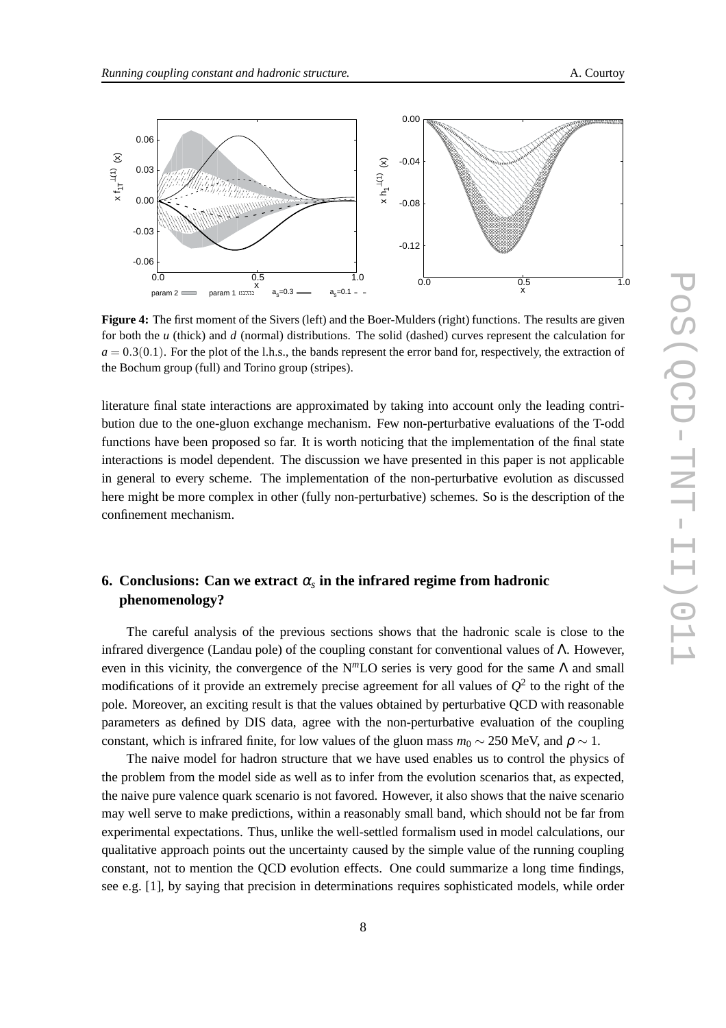

**Figure 4:** The first moment of the Sivers (left) and the Boer-Mulders (right) functions. The results are given for both the *u* (thick) and *d* (normal) distributions. The solid (dashed) curves represent the calculation for  $a = 0.3(0.1)$ . For the plot of the l.h.s., the bands represent the error band for, respectively, the extraction of the Bochum group (full) and Torino group (stripes).

literature final state interactions are approximated by taking into account only the leading contribution due to the one-gluon exchange mechanism. Few non-perturbative evaluations of the T-odd functions have been proposed so far. It is worth noticing that the implementation of the final state interactions is model dependent. The discussion we have presented in this paper is not applicable in general to every scheme. The implementation of the non-perturbative evolution as discussed here might be more complex in other (fully non-perturbative) schemes. So is the description of the confinement mechanism.

## **6.** Conclusions: Can we extract  $\alpha_s$  in the infrared regime from hadronic **phenomenology?**

The careful analysis of the previous sections shows that the hadronic scale is close to the infrared divergence (Landau pole) of the coupling constant for conventional values of Λ. However, even in this vicinity, the convergence of the N*m*LO series is very good for the same Λ and small modifications of it provide an extremely precise agreement for all values of  $Q^2$  to the right of the pole. Moreover, an exciting result is that the values obtained by perturbative QCD with reasonable parameters as defined by DIS data, agree with the non-perturbative evaluation of the coupling constant, which is infrared finite, for low values of the gluon mass  $m_0 \sim 250$  MeV, and  $\rho \sim 1$ .

The naive model for hadron structure that we have used enables us to control the physics of the problem from the model side as well as to infer from the evolution scenarios that, as expected, the naive pure valence quark scenario is not favored. However, it also shows that the naive scenario may well serve to make predictions, within a reasonably small band, which should not be far from experimental expectations. Thus, unlike the well-settled formalism used in model calculations, our qualitative approach points out the uncertainty caused by the simple value of the running coupling constant, not to mention the QCD evolution effects. One could summarize a long time findings, see e.g. [1], by saying that precision in determinations requires sophisticated models, while order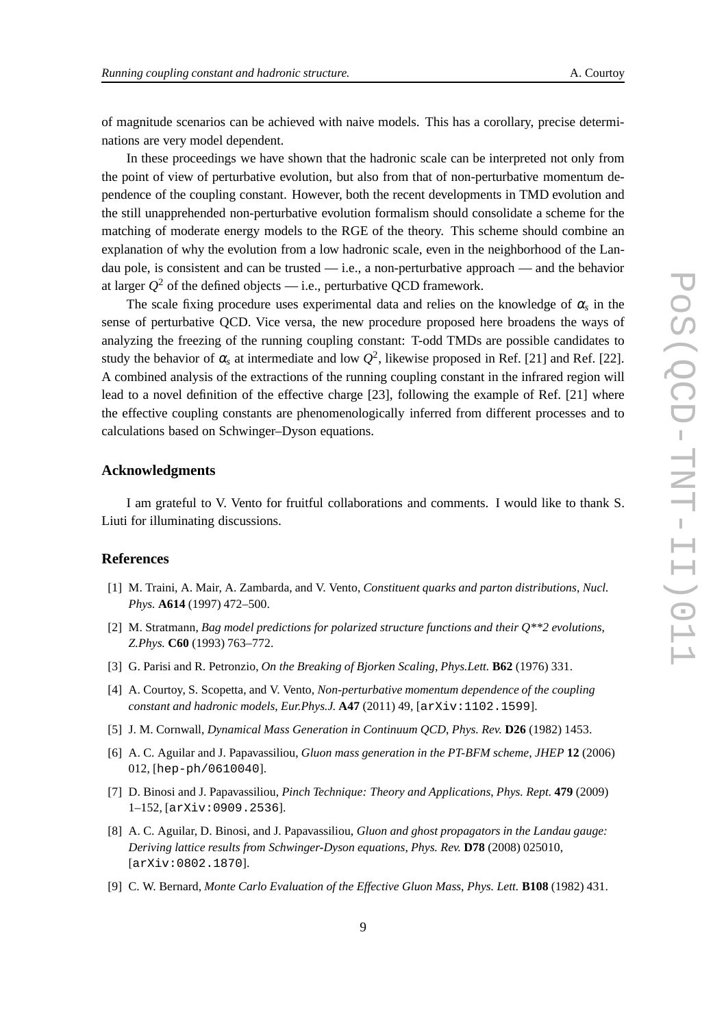of magnitude scenarios can be achieved with naive models. This has a corollary, precise determinations are very model dependent.

In these proceedings we have shown that the hadronic scale can be interpreted not only from the point of view of perturbative evolution, but also from that of non-perturbative momentum dependence of the coupling constant. However, both the recent developments in TMD evolution and the still unapprehended non-perturbative evolution formalism should consolidate a scheme for the matching of moderate energy models to the RGE of the theory. This scheme should combine an explanation of why the evolution from a low hadronic scale, even in the neighborhood of the Landau pole, is consistent and can be trusted  $-$  i.e., a non-perturbative approach  $-$  and the behavior at larger  $Q^2$  of the defined objects — i.e., perturbative QCD framework.

The scale fixing procedure uses experimental data and relies on the knowledge of  $\alpha_s$  in the sense of perturbative QCD. Vice versa, the new procedure proposed here broadens the ways of analyzing the freezing of the running coupling constant: T-odd TMDs are possible candidates to study the behavior of  $\alpha_s$  at intermediate and low  $Q^2$ , likewise proposed in Ref. [21] and Ref. [22]. A combined analysis of the extractions of the running coupling constant in the infrared region will lead to a novel definition of the effective charge [23], following the example of Ref. [21] where the effective coupling constants are phenomenologically inferred from different processes and to calculations based on Schwinger–Dyson equations.

#### **Acknowledgments**

I am grateful to V. Vento for fruitful collaborations and comments. I would like to thank S. Liuti for illuminating discussions.

#### **References**

- [1] M. Traini, A. Mair, A. Zambarda, and V. Vento, *Constituent quarks and parton distributions*, *Nucl. Phys.* **A614** (1997) 472–500.
- [2] M. Stratmann, *Bag model predictions for polarized structure functions and their Q\*\*2 evolutions*, *Z.Phys.* **C60** (1993) 763–772.
- [3] G. Parisi and R. Petronzio, *On the Breaking of Bjorken Scaling*, *Phys.Lett.* **B62** (1976) 331.
- [4] A. Courtoy, S. Scopetta, and V. Vento, *Non-perturbative momentum dependence of the coupling constant and hadronic models*, *Eur.Phys.J.* **A47** (2011) 49, [arXiv:1102.1599].
- [5] J. M. Cornwall, *Dynamical Mass Generation in Continuum QCD*, *Phys. Rev.* **D26** (1982) 1453.
- [6] A. C. Aguilar and J. Papavassiliou, *Gluon mass generation in the PT-BFM scheme*, *JHEP* **12** (2006) 012, [hep-ph/0610040].
- [7] D. Binosi and J. Papavassiliou, *Pinch Technique: Theory and Applications*, *Phys. Rept.* **479** (2009) 1–152, [arXiv:0909.2536].
- [8] A. C. Aguilar, D. Binosi, and J. Papavassiliou, *Gluon and ghost propagators in the Landau gauge: Deriving lattice results from Schwinger-Dyson equations*, *Phys. Rev.* **D78** (2008) 025010, [arXiv:0802.1870].
- [9] C. W. Bernard, *Monte Carlo Evaluation of the Effective Gluon Mass*, *Phys. Lett.* **B108** (1982) 431.